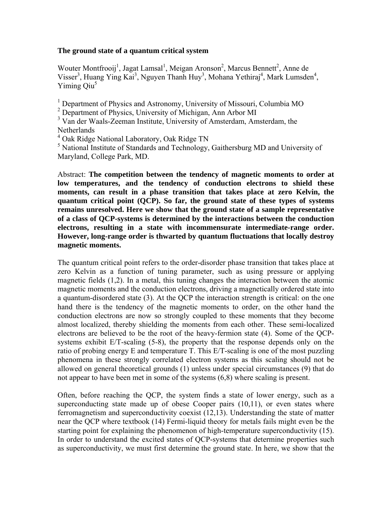# **The ground state of a quantum critical system**

Wouter Montfrooij<sup>1</sup>, Jagat Lamsal<sup>1</sup>, Meigan Aronson<sup>2</sup>, Marcus Bennett<sup>2</sup>, Anne de Visser<sup>3</sup>, Huang Ying Kai<sup>3</sup>, Nguyen Thanh Huy<sup>3</sup>, Mohana Yethiraj<sup>4</sup>, Mark Lumsden<sup>4</sup>, Yiming  $Qiu^5$ 

<sup>1</sup> Department of Physics and Astronomy, University of Missouri, Columbia MO

<sup>2</sup> Department of Physics, University of Michigan, Ann Arbor MI

<sup>3</sup> Van der Waals-Zeeman Institute, University of Amsterdam, Amsterdam, the **Netherlands** 

<sup>4</sup> Oak Ridge National Laboratory, Oak Ridge TN

<sup>5</sup> National Institute of Standards and Technology, Gaithersburg MD and University of Maryland, College Park, MD.

Abstract: **The competition between the tendency of magnetic moments to order at low temperatures, and the tendency of conduction electrons to shield these moments, can result in a phase transition that takes place at zero Kelvin, the quantum critical point (QCP). So far, the ground state of these types of systems remains unresolved. Here we show that the ground state of a sample representative of a class of QCP-systems is determined by the interactions between the conduction electrons, resulting in a state with incommensurate intermediate-range order. However, long-range order is thwarted by quantum fluctuations that locally destroy magnetic moments.**

The quantum critical point refers to the order-disorder phase transition that takes place at zero Kelvin as a function of tuning parameter, such as using pressure or applying magnetic fields (1,2). In a metal, this tuning changes the interaction between the atomic magnetic moments and the conduction electrons, driving a magnetically ordered state into a quantum-disordered state (3). At the QCP the interaction strength is critical: on the one hand there is the tendency of the magnetic moments to order, on the other hand the conduction electrons are now so strongly coupled to these moments that they become almost localized, thereby shielding the moments from each other. These semi-localized electrons are believed to be the root of the heavy-fermion state (4). Some of the QCPsystems exhibit E/T-scaling (5-8), the property that the response depends only on the ratio of probing energy E and temperature T. This E/T-scaling is one of the most puzzling phenomena in these strongly correlated electron systems as this scaling should not be allowed on general theoretical grounds (1) unless under special circumstances (9) that do not appear to have been met in some of the systems (6,8) where scaling is present.

Often, before reaching the QCP, the system finds a state of lower energy, such as a superconducting state made up of obese Cooper pairs  $(10,11)$ , or even states where ferromagnetism and superconductivity coexist (12,13). Understanding the state of matter near the QCP where textbook (14) Fermi-liquid theory for metals fails might even be the starting point for explaining the phenomenon of high-temperature superconductivity (15). In order to understand the excited states of QCP-systems that determine properties such as superconductivity, we must first determine the ground state. In here, we show that the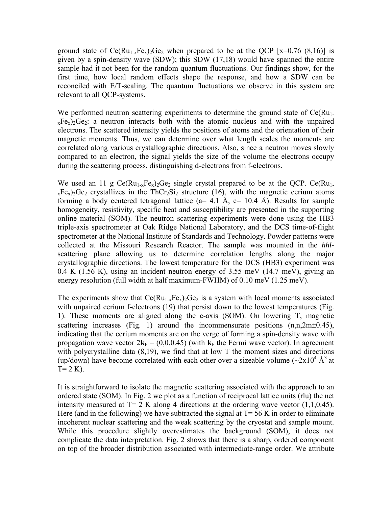ground state of  $Ce(Ru_{1-x}Fe_x)_2Ge_2$  when prepared to be at the QCP [x=0.76 (8,16)] is given by a spin-density wave (SDW); this SDW (17,18) would have spanned the entire sample had it not been for the random quantum fluctuations. Our findings show, for the first time, how local random effects shape the response, and how a SDW can be reconciled with E/T-scaling. The quantum fluctuations we observe in this system are relevant to all QCP-systems.

We performed neutron scattering experiments to determine the ground state of  $Ce(Ru<sub>1</sub>$ .  $xF_{x}F_{x}$ )? Ge2: a neutron interacts both with the atomic nucleus and with the unpaired electrons. The scattered intensity yields the positions of atoms and the orientation of their magnetic moments. Thus, we can determine over what length scales the moments are correlated along various crystallographic directions. Also, since a neutron moves slowly compared to an electron, the signal yields the size of the volume the electrons occupy during the scattering process, distinguishing d-electrons from f-electrons.

We used an 11 g  $Ce(Ru_{1-x}Fe_x)_2Ge_2$  single crystal prepared to be at the QCP.  $Ce(Ru_{1-x}Fe_x)_2Ge_2$  $xF_{x}Fe_{x}$ )? Ge<sub>2</sub> crystallizes in the ThCr<sub>2</sub>Si<sub>2</sub> structure (16), with the magnetic cerium atoms forming a body centered tetragonal lattice ( $a= 4.1 \text{ Å}$ ,  $c= 10.4 \text{ Å}$ ). Results for sample homogeneity, resistivity, specific heat and susceptibility are presented in the supporting online material (SOM). The neutron scattering experiments were done using the HB3 triple-axis spectrometer at Oak Ridge National Laboratory, and the DCS time-of-flight spectrometer at the National Institute of Standards and Technology. Powder patterns were collected at the Missouri Research Reactor. The sample was mounted in the *hhl*scattering plane allowing us to determine correlation lengths along the major crystallographic directions. The lowest temperature for the DCS (HB3) experiment was 0.4 K (1.56 K), using an incident neutron energy of 3.55 meV (14.7 meV), giving an energy resolution (full width at half maximum-FWHM) of 0.10 meV (1.25 meV).

The experiments show that  $Ce(Ru_{1-x}Fe_x)_2Ge_2$  is a system with local moments associated with unpaired cerium f-electrons (19) that persist down to the lowest temperatures (Fig. 1). These moments are aligned along the c-axis (SOM). On lowering T, magnetic scattering increases (Fig. 1) around the incommensurate positions  $(n, n, 2m+0.45)$ , indicating that the cerium moments are on the verge of forming a spin-density wave with propagation wave vector  $2\mathbf{k}_F = (0.0, 0.45)$  (with  $\mathbf{k}_F$  the Fermi wave vector). In agreement with polycrystalline data  $(8,19)$ , we find that at low T the moment sizes and directions (up/down) have become correlated with each other over a sizeable volume ( $\sim$ 2x10<sup>4</sup> Å<sup>3</sup> at  $T= 2 K$ ).

It is straightforward to isolate the magnetic scattering associated with the approach to an ordered state (SOM). In Fig. 2 we plot as a function of reciprocal lattice units (rlu) the net intensity measured at  $T= 2$  K along 4 directions at the ordering wave vector (1,1,0.45). Here (and in the following) we have subtracted the signal at  $T = 56$  K in order to eliminate incoherent nuclear scattering and the weak scattering by the cryostat and sample mount. While this procedure slightly overestimates the background (SOM), it does not complicate the data interpretation. Fig. 2 shows that there is a sharp, ordered component on top of the broader distribution associated with intermediate-range order. We attribute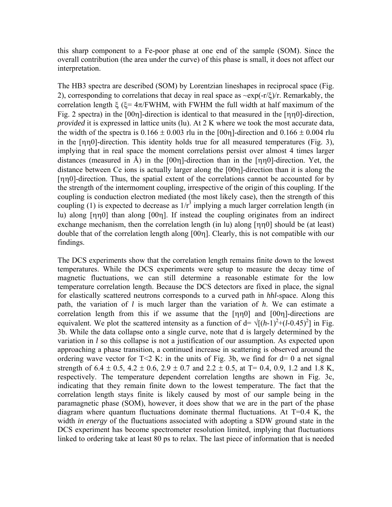this sharp component to a Fe-poor phase at one end of the sample (SOM). Since the overall contribution (the area under the curve) of this phase is small, it does not affect our interpretation.

The HB3 spectra are described (SOM) by Lorentzian lineshapes in reciprocal space (Fig. 2), corresponding to correlations that decay in real space as  $\exp(-r/\xi)/r$ . Remarkably, the correlation length  $\xi$  ( $\xi = 4\pi$ /FWHM, with FWHM the full width at half maximum of the Fig. 2 spectra) in the [00η]-direction is identical to that measured in the [ηη0]-direction, *provided* it is expressed in lattice units (lu). At 2 K where we took the most accurate data, the width of the spectra is  $0.166 \pm 0.003$  rlu in the [00η]-direction and  $0.166 \pm 0.004$  rlu in the [nn0]-direction. This identity holds true for all measured temperatures (Fig. 3), implying that in real space the moment correlations persist over almost 4 times larger distances (measured in Å) in the [00η]-direction than in the [ηη0]-direction. Yet, the distance between Ce ions is actually larger along the [00η]-direction than it is along the [ηη0]-direction. Thus, the spatial extent of the correlations cannot be accounted for by the strength of the intermoment coupling, irrespective of the origin of this coupling. If the coupling is conduction electron mediated (the most likely case), then the strength of this coupling (1) is expected to decrease as  $1/r^3$  implying a much larger correlation length (in lu) along [ηη0] than along [00η]. If instead the coupling originates from an indirect exchange mechanism, then the correlation length (in lu) along [ηη0] should be (at least) double that of the correlation length along [00η]. Clearly, this is not compatible with our findings.

The DCS experiments show that the correlation length remains finite down to the lowest temperatures. While the DCS experiments were setup to measure the decay time of magnetic fluctuations, we can still determine a reasonable estimate for the low temperature correlation length. Because the DCS detectors are fixed in place, the signal for elastically scattered neutrons corresponds to a curved path in *hhl*-space. Along this path, the variation of *l* is much larger than the variation of *h*. We can estimate a correlation length from this if we assume that the [ηη0] and [00η]-directions are equivalent. We plot the scattered intensity as a function of  $d = \sqrt{(h-1)^2 + (l-0.45)^2}$  in Fig. 3b. While the data collapse onto a single curve, note that d is largely determined by the variation in *l* so this collapse is not a justification of our assumption. As expected upon approaching a phase transition, a continued increase in scattering is observed around the ordering wave vector for  $T \leq 2$  K: in the units of Fig. 3b, we find for  $d=0$  a net signal strength of  $6.4 \pm 0.5$ ,  $4.2 \pm 0.6$ ,  $2.9 \pm 0.7$  and  $2.2 \pm 0.5$ , at T= 0.4, 0.9, 1.2 and 1.8 K, respectively. The temperature dependent correlation lengths are shown in Fig. 3c, indicating that they remain finite down to the lowest temperature. The fact that the correlation length stays finite is likely caused by most of our sample being in the paramagnetic phase (SOM), however, it does show that we are in the part of the phase diagram where quantum fluctuations dominate thermal fluctuations. At T=0.4 K, the width *in energy* of the fluctuations associated with adopting a SDW ground state in the DCS experiment has become spectrometer resolution limited, implying that fluctuations linked to ordering take at least 80 ps to relax. The last piece of information that is needed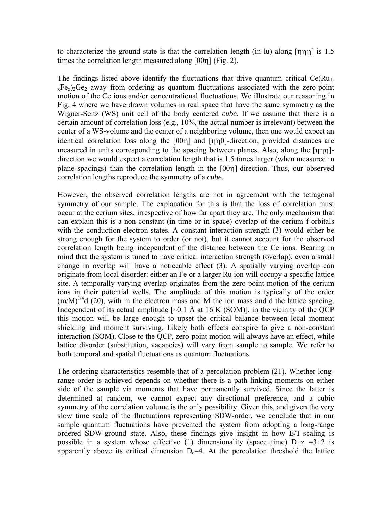to characterize the ground state is that the correlation length (in lu) along [ηηη] is 1.5 times the correlation length measured along [00η] (Fig. 2).

The findings listed above identify the fluctuations that drive quantum critical  $Ce(Ru_1)$ .  $xF_{x}Fe_{x}$ )<sub>2</sub>Ge<sub>2</sub> away from ordering as quantum fluctuations associated with the zero-point motion of the Ce ions and/or concentrational fluctuations. We illustrate our reasoning in Fig. 4 where we have drawn volumes in real space that have the same symmetry as the Wigner-Seitz (WS) unit cell of the body centered *cube*. If we assume that there is a certain amount of correlation loss (e.g., 10%, the actual number is irrelevant) between the center of a WS-volume and the center of a neighboring volume, then one would expect an identical correlation loss along the [00η] and [ηη0]-direction, provided distances are measured in units corresponding to the spacing between planes. Also, along the [ηηη] direction we would expect a correlation length that is 1.5 times larger (when measured in plane spacings) than the correlation length in the [00η]-direction. Thus, our observed correlation lengths reproduce the symmetry of a *cube*.

However, the observed correlation lengths are not in agreement with the tetragonal symmetry of our sample. The explanation for this is that the loss of correlation must occur at the cerium sites, irrespective of how far apart they are. The only mechanism that can explain this is a non-constant (in time or in space) overlap of the cerium f-orbitals with the conduction electron states. A constant interaction strength (3) would either be strong enough for the system to order (or not), but it cannot account for the observed correlation length being independent of the distance between the Ce ions. Bearing in mind that the system is tuned to have critical interaction strength (overlap), even a small change in overlap will have a noticeable effect (3). A spatially varying overlap can originate from local disorder: either an Fe or a larger Ru ion will occupy a specific lattice site. A temporally varying overlap originates from the zero-point motion of the cerium ions in their potential wells. The amplitude of this motion is typically of the order  $(m/M)^{1/4}$ d (20), with m the electron mass and M the ion mass and d the lattice spacing. Independent of its actual amplitude  $\lceil -0.1 \rceil$  Å at 16 K (SOM), in the vicinity of the QCP this motion will be large enough to upset the critical balance between local moment shielding and moment surviving. Likely both effects conspire to give a non-constant interaction (SOM). Close to the QCP, zero-point motion will always have an effect, while lattice disorder (substitution, vacancies) will vary from sample to sample. We refer to both temporal and spatial fluctuations as quantum fluctuations.

The ordering characteristics resemble that of a percolation problem (21). Whether longrange order is achieved depends on whether there is a path linking moments on either side of the sample via moments that have permanently survived. Since the latter is determined at random, we cannot expect any directional preference, and a cubic symmetry of the correlation volume is the only possibility. Given this, and given the very slow time scale of the fluctuations representing SDW-order, we conclude that in our sample quantum fluctuations have prevented the system from adopting a long-range ordered SDW-ground state. Also, these findings give insight in how E/T-scaling is possible in a system whose effective (1) dimensionality (space+time)  $D+z = 3+2$  is apparently above its critical dimension  $D<sub>c</sub>=4$ . At the percolation threshold the lattice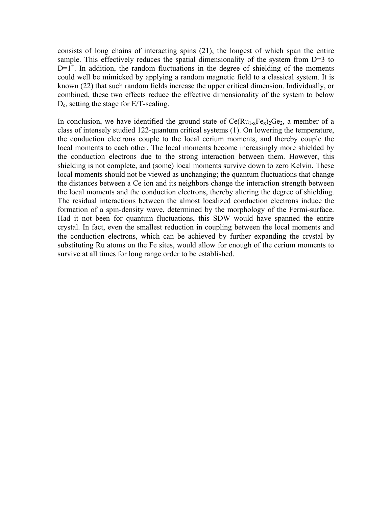consists of long chains of interacting spins (21), the longest of which span the entire sample. This effectively reduces the spatial dimensionality of the system from D=3 to  $D=1$ <sup>+</sup>. In addition, the random fluctuations in the degree of shielding of the moments could well be mimicked by applying a random magnetic field to a classical system. It is known (22) that such random fields increase the upper critical dimension. Individually, or combined, these two effects reduce the effective dimensionality of the system to below Dc, setting the stage for E/T-scaling.

In conclusion, we have identified the ground state of  $Ce(Ru_{1-x}Fe_{x})_2Ge_2$ , a member of a class of intensely studied 122-quantum critical systems (1). On lowering the temperature, the conduction electrons couple to the local cerium moments, and thereby couple the local moments to each other. The local moments become increasingly more shielded by the conduction electrons due to the strong interaction between them. However, this shielding is not complete, and (some) local moments survive down to zero Kelvin. These local moments should not be viewed as unchanging; the quantum fluctuations that change the distances between a Ce ion and its neighbors change the interaction strength between the local moments and the conduction electrons, thereby altering the degree of shielding. The residual interactions between the almost localized conduction electrons induce the formation of a spin-density wave, determined by the morphology of the Fermi-surface. Had it not been for quantum fluctuations, this SDW would have spanned the entire crystal. In fact, even the smallest reduction in coupling between the local moments and the conduction electrons, which can be achieved by further expanding the crystal by substituting Ru atoms on the Fe sites, would allow for enough of the cerium moments to survive at all times for long range order to be established.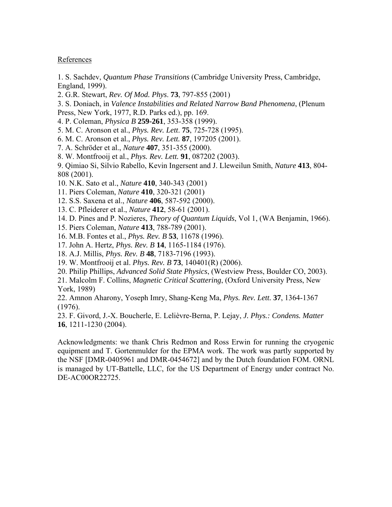#### References

1. S. Sachdev, *Quantum Phase Transitions* (Cambridge University Press, Cambridge, England, 1999).

2. G.R. Stewart, *Rev. Of Mod. Phys*. **73**, 797-855 (2001)

3. S. Doniach, in *Valence Instabilities and Related Narrow Band Phenomena*, (Plenum Press, New York, 1977, R.D. Parks ed.), pp. 169.

4. P. Coleman, *Physica B* **259-261**, 353-358 (1999).

- 5. M. C. Aronson et al., *Phys. Rev. Lett*. **75**, 725-728 (1995).
- 6. M. C. Aronson et al., *Phys. Rev. Lett.* **87**, 197205 (2001).
- 7. A. Schröder et al., *Nature* **407**, 351-355 (2000).
- 8. W. Montfrooij et al., *Phys. Rev. Lett.* **91**, 087202 (2003).

9. Qimiao Si, Silvio Rabello, Kevin Ingersent and J. Lleweilun Smith, *Nature* **413**, 804- 808 (2001).

- 10. N.K. Sato et al., *Nature* **410**, 340-343 (2001)
- 11. Piers Coleman, *Nature* **410**, 320-321 (2001)
- 12. S.S. Saxena et al., *Nature* **406**, 587-592 (2000).
- 13. C. Pfleiderer et al., *Nature* **412**, 58-61 (2001).
- 14. D. Pines and P. Nozieres, *Theory of Quantum Liquids*, Vol 1, (WA Benjamin, 1966).
- 15. Piers Coleman, *Nature* **413**, 788-789 (2001).
- 16. M.B. Fontes et al., *Phys. Rev. B* **53**, 11678 (1996).
- 17. John A. Hertz, *Phys. Rev. B* **14**, 1165-1184 (1976).
- 18. A.J. Millis, *Phys. Rev. B* **48**, 7183-7196 (1993).
- 19. W. Montfrooij et al. *Phys. Rev. B* **73**, 140401(R) (2006).
- 20. Philip Phillips, *Advanced Solid State Physics*, (Westview Press, Boulder CO, 2003).
- 21. Malcolm F. Collins, *Magnetic Critical Scattering*, (Oxford University Press, New York, 1989)

22. Amnon Aharony, Yoseph Imry, Shang-Keng Ma, *Phys. Rev. Lett.* **37**, 1364-1367 (1976).

23. F. Givord, J.-X. Boucherle, E. Lelièvre-Berna, P. Lejay, *J. Phys.: Condens. Matter* **16**, 1211-1230 (2004).

Acknowledgments: we thank Chris Redmon and Ross Erwin for running the cryogenic equipment and T. Gortenmulder for the EPMA work. The work was partly supported by the NSF [DMR-0405961 and DMR-0454672] and by the Dutch foundation FOM. ORNL is managed by UT-Battelle, LLC, for the US Department of Energy under contract No. DE-AC00OR22725.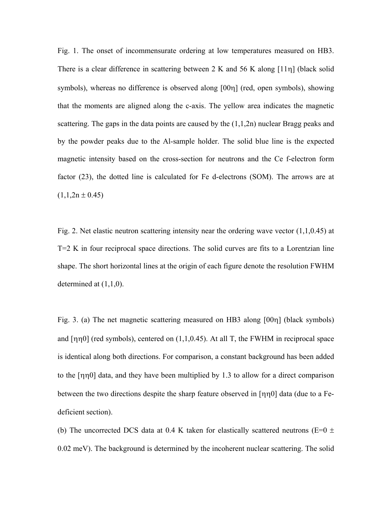Fig. 1. The onset of incommensurate ordering at low temperatures measured on HB3. There is a clear difference in scattering between 2 K and 56 K along [11η] (black solid symbols), whereas no difference is observed along [00η] (red, open symbols), showing that the moments are aligned along the c-axis. The yellow area indicates the magnetic scattering. The gaps in the data points are caused by the  $(1,1,2n)$  nuclear Bragg peaks and by the powder peaks due to the Al-sample holder. The solid blue line is the expected magnetic intensity based on the cross-section for neutrons and the Ce f-electron form factor (23), the dotted line is calculated for Fe d-electrons (SOM). The arrows are at  $(1,1,2n \pm 0.45)$ 

Fig. 2. Net elastic neutron scattering intensity near the ordering wave vector  $(1,1,0.45)$  at T=2 K in four reciprocal space directions. The solid curves are fits to a Lorentzian line shape. The short horizontal lines at the origin of each figure denote the resolution FWHM determined at (1,1,0).

Fig. 3. (a) The net magnetic scattering measured on HB3 along [00η] (black symbols) and [ηη0] (red symbols), centered on (1,1,0.45). At all T, the FWHM in reciprocal space is identical along both directions. For comparison, a constant background has been added to the [ηη0] data, and they have been multiplied by 1.3 to allow for a direct comparison between the two directions despite the sharp feature observed in [ηη0] data (due to a Fedeficient section).

(b) The uncorrected DCS data at 0.4 K taken for elastically scattered neutrons ( $E=0 \pm 1$ 0.02 meV). The background is determined by the incoherent nuclear scattering. The solid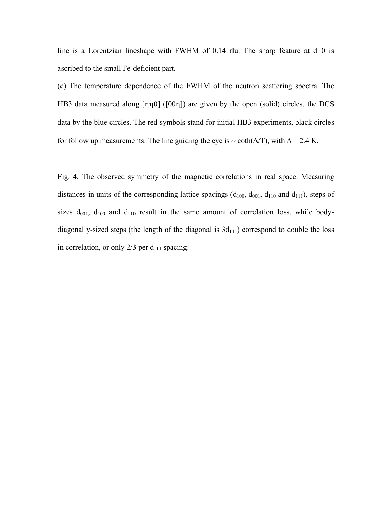line is a Lorentzian lineshape with FWHM of 0.14 rlu. The sharp feature at  $d=0$  is ascribed to the small Fe-deficient part.

(c) The temperature dependence of the FWHM of the neutron scattering spectra. The HB3 data measured along [ηη0] ([00η]) are given by the open (solid) circles, the DCS data by the blue circles. The red symbols stand for initial HB3 experiments, black circles for follow up measurements. The line guiding the eye is  $\sim \coth(\Delta/T)$ , with  $\Delta = 2.4$  K.

Fig. 4. The observed symmetry of the magnetic correlations in real space. Measuring distances in units of the corresponding lattice spacings  $(d_{100}, d_{001}, d_{110})$  and  $d_{111}$ , steps of sizes  $d_{001}$ ,  $d_{100}$  and  $d_{110}$  result in the same amount of correlation loss, while bodydiagonally-sized steps (the length of the diagonal is  $3d_{111}$ ) correspond to double the loss in correlation, or only  $2/3$  per  $d_{111}$  spacing.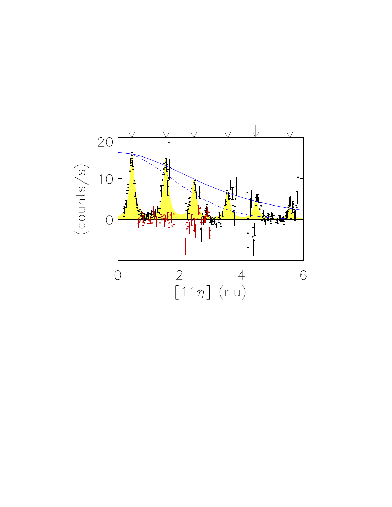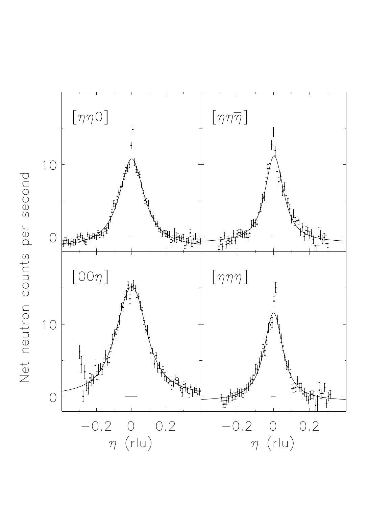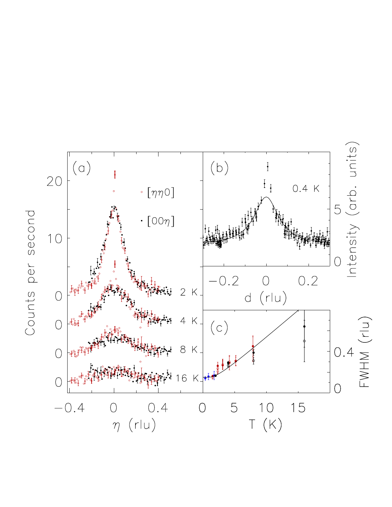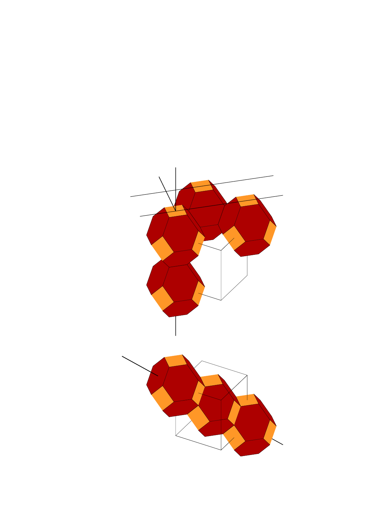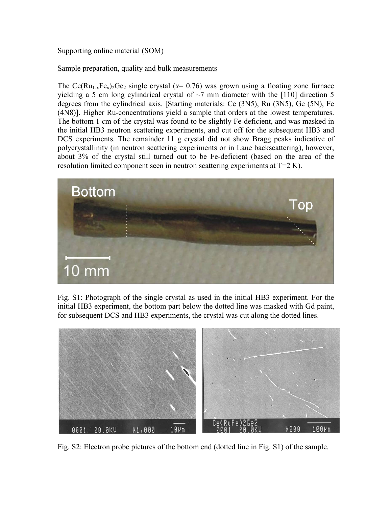# Supporting online material (SOM)

# Sample preparation, quality and bulk measurements

The Ce(Ru<sub>1-x</sub>Fe<sub>x</sub>)<sub>2</sub>Ge<sub>2</sub> single crystal ( $x= 0.76$ ) was grown using a floating zone furnace yielding a 5 cm long cylindrical crystal of  $\sim$ 7 mm diameter with the [110] direction 5 degrees from the cylindrical axis. [Starting materials: Ce (3N5), Ru (3N5), Ge (5N), Fe (4N8)]. Higher Ru-concentrations yield a sample that orders at the lowest temperatures. The bottom 1 cm of the crystal was found to be slightly Fe-deficient, and was masked in the initial HB3 neutron scattering experiments, and cut off for the subsequent HB3 and DCS experiments. The remainder 11 g crystal did not show Bragg peaks indicative of polycrystallinity (in neutron scattering experiments or in Laue backscattering), however, about 3% of the crystal still turned out to be Fe-deficient (based on the area of the resolution limited component seen in neutron scattering experiments at T=2 K).



Fig. S1: Photograph of the single crystal as used in the initial HB3 experiment. For the initial HB3 experiment, the bottom part below the dotted line was masked with Gd paint, for subsequent DCS and HB3 experiments, the crystal was cut along the dotted lines.



Fig. S2: Electron probe pictures of the bottom end (dotted line in Fig. S1) of the sample.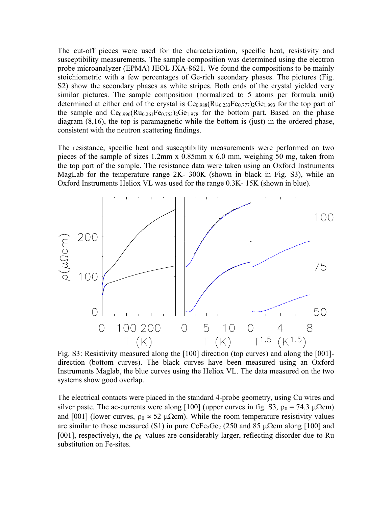The cut-off pieces were used for the characterization, specific heat, resistivity and susceptibility measurements. The sample composition was determined using the electron probe microanalyzer (EPMA) JEOL JXA-8621. We found the compositions to be mainly stoichiometric with a few percentages of Ge-rich secondary phases. The pictures (Fig. S2) show the secondary phases as white stripes. Both ends of the crystal yielded very similar pictures. The sample composition (normalized to 5 atoms per formula unit) determined at either end of the crystal is  $Ce<sub>0.988</sub>(Ru<sub>0.233</sub>Fe<sub>0.777</sub>)<sub>2</sub>Ge<sub>1.993</sub>$  for the top part of the sample and  $Ce_{0.996}(Ru_{0.261}Fe_{0.753})_2Ge_{1.978}$  for the bottom part. Based on the phase diagram (8,16), the top is paramagnetic while the bottom is (just) in the ordered phase, consistent with the neutron scattering findings.

The resistance, specific heat and susceptibility measurements were performed on two pieces of the sample of sizes 1.2mm x 0.85mm x 6.0 mm, weighing 50 mg, taken from the top part of the sample. The resistance data were taken using an Oxford Instruments MagLab for the temperature range 2K- 300K (shown in black in Fig. S3), while an Oxford Instruments Heliox VL was used for the range 0.3K- 15K (shown in blue).



Fig. S3: Resistivity measured along the [100] direction (top curves) and along the [001] direction (bottom curves). The black curves have been measured using an Oxford Instruments Maglab, the blue curves using the Heliox VL. The data measured on the two systems show good overlap.

The electrical contacts were placed in the standard 4-probe geometry, using Cu wires and silver paste. The ac-currents were along [100] (upper curves in fig. S3,  $\rho_0 = 74.3 \mu \Omega$ cm) and [001] (lower curves,  $\rho_0 \approx 52 \mu \Omega$ cm). While the room temperature resistivity values are similar to those measured (S1) in pure CeFe<sub>2</sub>Ge<sub>2</sub> (250 and 85  $\mu\Omega$ cm along [100] and [001], respectively), the  $\rho_0$ -values are considerably larger, reflecting disorder due to Ru substitution on Fe-sites.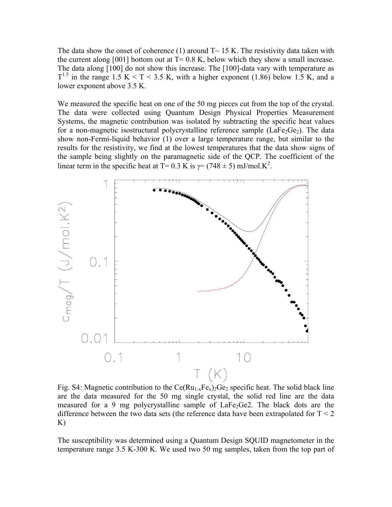The data show the onset of coherence (1) around  $T \sim 15$  K. The resistivity data taken with the current along [001] bottom out at  $T = 0.8$  K, below which they show a small increase. The data along [100] do not show this increase. The [100]-data vary with temperature as  $T^{1.5}$  in the range 1.5 K < T < 3.5 K, with a higher exponent (1.86) below 1.5 K, and a lower exponent above 3.5 K.

We measured the specific heat on one of the 50 mg pieces cut from the top of the crystal. The data were collected using Quantum Design Physical Properties Measurement Systems, the magnetic contribution was isolated by subtracting the specific heat values for a non-magnetic isostructural polycrystalline reference sample  $(LaFe<sub>2</sub>Ge<sub>2</sub>)$ . The data show non-Fermi-liquid behavior (1) over a large temperature range, but similar to the results for the resistivity, we find at the lowest temperatures that the data show signs of the sample being slightly on the paramagnetic side of the QCP. The coefficient of the linear term in the specific heat at T= 0.3 K is  $\gamma$ = (748 ± 5) mJ/mol.K<sup>2</sup>.



Fig. S4: Magnetic contribution to the  $Ce(Ru_{1-x}Fe_x)_2Ge_2$  specific heat. The solid black line are the data measured for the 50 mg single crystal, the solid red line are the data measured for a 9 mg polycrystalline sample of  $LaFe<sub>2</sub>Ge<sub>2</sub>$ . The black dots are the difference between the two data sets (the reference data have been extrapolated for  $T < 2$ ) K)

The susceptibility was determined using a Quantum Design SQUID magnetometer in the temperature range 3.5 K-300 K. We used two 50 mg samples, taken from the top part of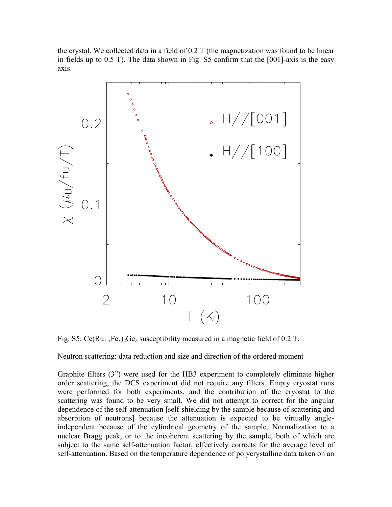the crystal. We collected data in a field of 0.2 T (the magnetization was found to be linear in fields up to 0.5 T). The data shown in Fig. S5 confirm that the [001]-axis is the easy axis.



Fig. S5: Ce(Ru<sub>1-x</sub>Fe<sub>x</sub>)<sub>2</sub>Ge<sub>2</sub> susceptibility measured in a magnetic field of 0.2 T.

#### Neutron scattering: data reduction and size and direction of the ordered moment

Graphite filters (3") were used for the HB3 experiment to completely eliminate higher order scattering, the DCS experiment did not require any filters. Empty cryostat runs were performed for both experiments, and the contribution of the cryostat to the scattering was found to be very small. We did not attempt to correct for the angular dependence of the self-attenuation [self-shielding by the sample because of scattering and absorption of neutrons] because the attenuation is expected to be virtually angleindependent because of the cylindrical geometry of the sample. Normalization to a nuclear Bragg peak, or to the incoherent scattering by the sample, both of which are subject to the same self-attenuation factor, effectively corrects for the average level of self-attenuation. Based on the temperature dependence of polycrystalline data taken on an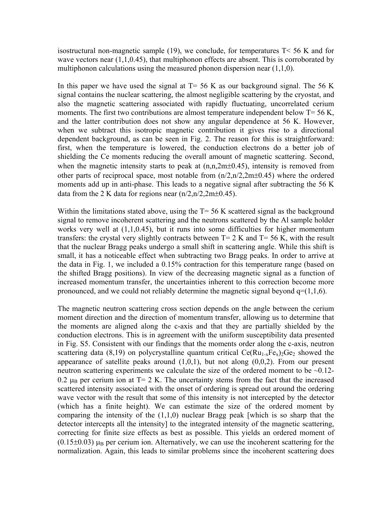isostructural non-magnetic sample (19), we conclude, for temperatures T< 56 K and for wave vectors near  $(1,1,0.45)$ , that multiphonon effects are absent. This is corroborated by multiphonon calculations using the measured phonon dispersion near (1,1,0).

In this paper we have used the signal at  $T = 56$  K as our background signal. The 56 K signal contains the nuclear scattering, the almost negligible scattering by the cryostat, and also the magnetic scattering associated with rapidly fluctuating, uncorrelated cerium moments. The first two contributions are almost temperature independent below  $T = 56$  K, and the latter contribution does not show any angular dependence at 56 K. However, when we subtract this isotropic magnetic contribution it gives rise to a directional dependent background, as can be seen in Fig. 2. The reason for this is straightforward: first, when the temperature is lowered, the conduction electrons do a better job of shielding the Ce moments reducing the overall amount of magnetic scattering. Second, when the magnetic intensity starts to peak at  $(n, n, 2m+0.45)$ , intensity is removed from other parts of reciprocal space, most notable from  $(n/2, n/2, 2m\pm 0.45)$  where the ordered moments add up in anti-phase. This leads to a negative signal after subtracting the 56 K data from the 2 K data for regions near  $(n/2, n/2, 2m\pm 0.45)$ .

Within the limitations stated above, using the  $T = 56$  K scattered signal as the background signal to remove incoherent scattering and the neutrons scattered by the Al sample holder works very well at (1,1,0.45), but it runs into some difficulties for higher momentum transfers: the crystal very slightly contracts between  $T= 2 K$  and  $T= 56 K$ , with the result that the nuclear Bragg peaks undergo a small shift in scattering angle. While this shift is small, it has a noticeable effect when subtracting two Bragg peaks. In order to arrive at the data in Fig. 1, we included a 0.15% contraction for this temperature range (based on the shifted Bragg positions). In view of the decreasing magnetic signal as a function of increased momentum transfer, the uncertainties inherent to this correction become more pronounced, and we could not reliably determine the magnetic signal beyond  $q=(1,1,6)$ .

The magnetic neutron scattering cross section depends on the angle between the cerium moment direction and the direction of momentum transfer, allowing us to determine that the moments are aligned along the c-axis and that they are partially shielded by the conduction electrons. This is in agreement with the uniform susceptibility data presented in Fig. S5. Consistent with our findings that the moments order along the c-axis, neutron scattering data (8,19) on polycrystalline quantum critical  $Ce(Ru_{1-x}Fe_{x})_2Ge_2$  showed the appearance of satellite peaks around  $(1,0,1)$ , but not along  $(0,0,2)$ . From our present neutron scattering experiments we calculate the size of the ordered moment to be  $\sim 0.12$ -0.2  $\mu$ <sub>B</sub> per cerium ion at T= 2 K. The uncertainty stems from the fact that the increased scattered intensity associated with the onset of ordering is spread out around the ordering wave vector with the result that some of this intensity is not intercepted by the detector (which has a finite height). We can estimate the size of the ordered moment by comparing the intensity of the  $(1,1,0)$  nuclear Bragg peak [which is so sharp that the detector intercepts all the intensity] to the integrated intensity of the magnetic scattering, correcting for finite size effects as best as possible. This yields an ordered moment of  $(0.15\pm0.03)$   $\mu$ <sub>B</sub> per cerium ion. Alternatively, we can use the incoherent scattering for the normalization. Again, this leads to similar problems since the incoherent scattering does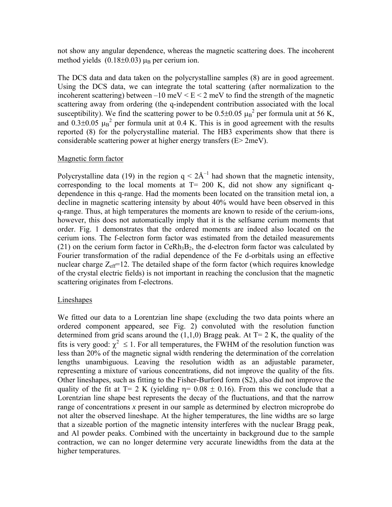not show any angular dependence, whereas the magnetic scattering does. The incoherent method yields  $(0.18\pm0.03)$   $\mu$ <sub>B</sub> per cerium ion.

The DCS data and data taken on the polycrystalline samples (8) are in good agreement. Using the DCS data, we can integrate the total scattering (after normalization to the incoherent scattering) between  $-10$  meV  $\leq E \leq 2$  meV to find the strength of the magnetic scattering away from ordering (the q-independent contribution associated with the local susceptibility). We find the scattering power to be  $0.5\pm0.05 \mu_B^2$  per formula unit at 56 K, and  $0.3\pm0.05$   $\mu$ <sup>2</sup> per formula unit at 0.4 K. This is in good agreement with the results reported (8) for the polycrystalline material. The HB3 experiments show that there is considerable scattering power at higher energy transfers (E> 2meV).

# Magnetic form factor

Polycrystalline data (19) in the region  $q < 2\text{\AA}^{-1}$  had shown that the magnetic intensity, corresponding to the local moments at  $T = 200$  K, did not show any significant qdependence in this q-range. Had the moments been located on the transition metal ion, a decline in magnetic scattering intensity by about 40% would have been observed in this q-range. Thus, at high temperatures the moments are known to reside of the cerium-ions, however, this does not automatically imply that it is the selfsame cerium moments that order. Fig. 1 demonstrates that the ordered moments are indeed also located on the cerium ions. The f-electron form factor was estimated from the detailed measurements (21) on the cerium form factor in  $CerRh_3B_2$ , the d-electron form factor was calculated by Fourier transformation of the radial dependence of the Fe d-orbitals using an effective nuclear charge  $Z_{\text{eff}}$ =12. The detailed shape of the form factor (which requires knowledge of the crystal electric fields) is not important in reaching the conclusion that the magnetic scattering originates from f-electrons.

### **Lineshapes**

We fitted our data to a Lorentzian line shape (excluding the two data points where an ordered component appeared, see Fig. 2) convoluted with the resolution function determined from grid scans around the  $(1,1,0)$  Bragg peak. At T= 2 K, the quality of the fits is very good:  $\chi^2 \leq 1$ . For all temperatures, the FWHM of the resolution function was less than 20% of the magnetic signal width rendering the determination of the correlation lengths unambiguous. Leaving the resolution width as an adjustable parameter, representing a mixture of various concentrations, did not improve the quality of the fits. Other lineshapes, such as fitting to the Fisher-Burford form (S2), also did not improve the quality of the fit at  $T= 2$  K (yielding  $\eta = 0.08 \pm 0.16$ ). From this we conclude that a Lorentzian line shape best represents the decay of the fluctuations, and that the narrow range of concentrations *x* present in our sample as determined by electron microprobe do not alter the observed lineshape. At the higher temperatures, the line widths are so large that a sizeable portion of the magnetic intensity interferes with the nuclear Bragg peak, and Al powder peaks. Combined with the uncertainty in background due to the sample contraction, we can no longer determine very accurate linewidths from the data at the higher temperatures.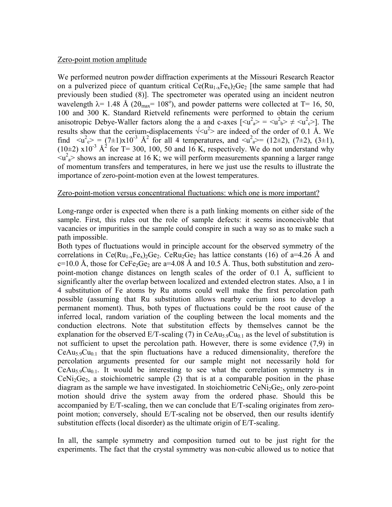### Zero-point motion amplitude

We performed neutron powder diffraction experiments at the Missouri Research Reactor on a pulverized piece of quantum critical  $Ce(Ru_{1-x}Fe_{x})_2Ge_2$  [the same sample that had previously been studied (8)]. The spectrometer was operated using an incident neutron wavelength  $\lambda$ = 1.48 Å (2 $\theta$ <sub>max</sub>= 108°), and powder patterns were collected at T= 16, 50, 100 and 300 K. Standard Rietveld refinements were performed to obtain the cerium anisotropic Debye-Waller factors along the a and c-axes  $\left[\langle u_{a}^{2} \rangle = \langle u_{b}^{2} \rangle \neq \langle u_{c}^{2} \rangle\right]$ . The results show that the cerium-displacements  $\sqrt{u^2}$  are indeed of the order of 0.1 Å. We find  $\langle u^2 e^2 \rangle = (7 \pm 1) \times 10^{-3}$  Å<sup>2</sup> for all 4 temperatures, and  $\langle u^2 e^2 \rangle = (12 \pm 2)$ ,  $(7 \pm 2)$ ,  $(3 \pm 1)$ ,  $(10\pm2)$  x10<sup>-3</sup> Å<sup>2</sup> for T= 300, 100, 50 and 16 K, respectively. We do not understand why  $\langle u^2_a \rangle$  shows an increase at 16 K; we will perform measurements spanning a larger range of momentum transfers and temperatures, in here we just use the results to illustrate the importance of zero-point-motion even at the lowest temperatures.

### Zero-point-motion versus concentrational fluctuations: which one is more important?

Long-range order is expected when there is a path linking moments on either side of the sample. First, this rules out the role of sample defects: it seems inconceivable that vacancies or impurities in the sample could conspire in such a way so as to make such a path impossible.

Both types of fluctuations would in principle account for the observed symmetry of the correlations in Ce(Ru<sub>1-x</sub>Fe<sub>x</sub>)<sub>2</sub>Ge<sub>2</sub>. CeRu<sub>2</sub>Ge<sub>2</sub> has lattice constants (16) of a=4.26 Å and  $c=10.0$  Å, those for CeFe<sub>2</sub>Ge<sub>2</sub> are a=4.08 Å and 10.5 Å. Thus, both substitution and zeropoint-motion change distances on length scales of the order of 0.1 Å, sufficient to significantly alter the overlap between localized and extended electron states. Also, a 1 in 4 substitution of Fe atoms by Ru atoms could well make the first percolation path possible (assuming that Ru substitution allows nearby cerium ions to develop a permanent moment). Thus, both types of fluctuations could be the root cause of the inferred local, random variation of the coupling between the local moments and the conduction electrons. Note that substitution effects by themselves cannot be the explanation for the observed  $E/T$ -scaling (7) in CeAu<sub>5.9</sub>Cu<sub>0.1</sub> as the level of substitution is not sufficient to upset the percolation path. However, there is some evidence (7,9) in  $CeAu<sub>5.9</sub>Cu<sub>0.1</sub>$  that the spin fluctuations have a reduced dimensionality, therefore the percolation arguments presented for our sample might not necessarily hold for CeAu<sub>5.9</sub>Cu<sub>0.1</sub>. It would be interesting to see what the correlation symmetry is in  $CeNi<sub>2</sub>Ge<sub>2</sub>$ , a stoichiometric sample (2) that is at a comparable position in the phase diagram as the sample we have investigated. In stoichiometric  $CeNi<sub>2</sub>Ge<sub>2</sub>$ , only zero-point motion should drive the system away from the ordered phase. Should this be accompanied by E/T-scaling, then we can conclude that E/T-scaling originates from zeropoint motion; conversely, should E/T-scaling not be observed, then our results identify substitution effects (local disorder) as the ultimate origin of E/T-scaling.

In all, the sample symmetry and composition turned out to be just right for the experiments. The fact that the crystal symmetry was non-cubic allowed us to notice that